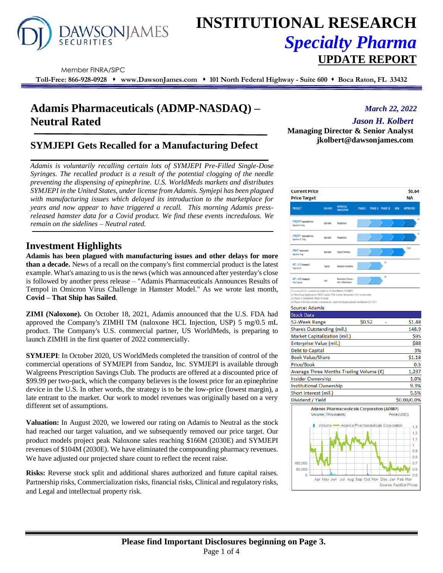

# **INSTITUTIONAL RESEARCH** *Specialty Pharma*  **UPDATE REPORT**

Member FINRA/SIPC

**Toll-Free: 866-928-0928** ⬧ **www.DawsonJames.com** ⬧ **101 North Federal Highway - Suite 600** ⬧ **Boca Raton, FL 33432**

# **Adamis Pharmaceuticals (ADMP-NASDAQ) – Neutral Rated**

## **SYMJEPI Gets Recalled for a Manufacturing Defect**

*Adamis is voluntarily recalling certain lots of SYMJEPI Pre-Filled Single-Dose Syringes. The recalled product is a result of the potential clogging of the needle preventing the dispensing of epinephrine. U.S. WorldMeds markets and distributes SYMJEPI in the United States, under license from Adamis. Symjepi has been plagued with manufacturing issues which delayed its introduction to the marketplace for years and now appear to have triggered a recall. This morning Adamis pressreleased hamster data for a Covid product. We find these events incredulous. We remain on the sidelines – Neutral rated.*

### **Investment Highlights**

**Adamis has been plagued with manufacturing issues and other delays for more than a decade.** News of a recall on the company's first commercial product is the latest example. What's amazing to us is the news (which was announced after yesterday's close is followed by another press release – "Adamis Pharmaceuticals Announces Results of Tempol in Omicron Virus Challenge in Hamster Model." As we wrote last month, **Covid – That Ship has Sailed**.

**ZIMI (Naloxone).** On October 18, 2021, Adamis announced that the U.S. FDA had approved the Company's ZIMHI TM (naloxone HCL Injection, USP) 5 mg/0.5 mL product. The Company's U.S. commercial partner, US WorldMeds, is preparing to launch ZIMHI in the first quarter of 2022 commercially.

**SYMJEPI**: In October 2020, US WorldMeds completed the transition of control of the commercial operations of SYMJEPI from Sandoz, Inc. SYMJEPI is available through Walgreens Prescription Savings Club. The products are offered at a discounted price of \$99.99 per two-pack, which the company believes is the lowest price for an epinephrine device in the U.S. In other words, the strategy is to be the low-price (lowest margin), a late entrant to the market. Our work to model revenues was originally based on a very different set of assumptions.

**Valuation:** In August 2020, we lowered our rating on Adamis to Neutral as the stock had reached our target valuation, and we subsequently removed our price target. Our product models project peak Naloxone sales reaching \$166M (2030E) and SYMJEPI revenues of \$104M (2030E). We have eliminated the compounding pharmacy revenues. We have adjusted our projected share count to reflect the recent raise.

**Risks:** Reverse stock split and additional shares authorized and future capital raises. Partnership risks, Commercialization risks, financial risks, Clinical and regulatory risks, and Legal and intellectual property risk.

*March 22, 2022*

*Jason H. Kolbert*

**Managing Director & Senior Analyst jkolbert@dawsonjames.com**

| <b>Current Price</b><br><b>Price Target</b>                                                                                    |                    |                                           |                |                                                  | \$0.64<br><b>NA</b> |
|--------------------------------------------------------------------------------------------------------------------------------|--------------------|-------------------------------------------|----------------|--------------------------------------------------|---------------------|
| <b>PRODUCT</b>                                                                                                                 | DELIVERY           | <b>POTENTIAL</b><br><b>INDICATION</b>     | <b>PHASE I</b> | PHASE II PHASE III<br><b>NDA</b>                 | <b>APPROVED</b>     |
| SYNUEPI* inpinephrine)<br>Injection 0.1mg                                                                                      | <b>Islactuble</b>  | <b>Anaphylaxis</b>                        |                |                                                  | m                   |
| SYMJEP1* (epinephrine)<br>Injection 0.15mg                                                                                     | <b>Islactuble</b>  | Anaphylaxis                               |                |                                                  | (1)                 |
| ZIMH <sup>*</sup> inalquane)<br><b>Injection Smg</b>                                                                           | <b>Islactuble</b>  | <b>Opioid Overdose</b>                    |                |                                                  | (DO)                |
| APC-410 (tempol)<br>Topical Cel                                                                                                | Topical            | <b>Radiation Demutitis</b>                |                | ō                                                |                     |
| APC-400 (tempol)<br>Oral Capsule                                                                                               | Ool                | Respiratory Disease /<br>Arti-Infannatory |                | iō                                               |                     |
| (4) Phase II/III trial activities commenced, expect to begin patient enrollment Q3 2021<br>Source: Adamis<br><b>Stock Data</b> |                    |                                           |                |                                                  |                     |
| 52-Week Range                                                                                                                  |                    |                                           | \$0.52         |                                                  | \$1.48              |
| Shares Outstanding (mil.)                                                                                                      |                    |                                           |                |                                                  | 148.9               |
| Market Capitalization (mil.)                                                                                                   |                    |                                           |                |                                                  | \$95                |
| Enterprise Value (mil.)                                                                                                        |                    |                                           |                |                                                  | \$88                |
| Debt to Capital                                                                                                                |                    |                                           |                |                                                  | 3%                  |
| <b>Book Value/Share</b>                                                                                                        |                    |                                           |                |                                                  | \$1.18              |
| Price/Book                                                                                                                     |                    |                                           |                |                                                  | 0.5                 |
| Average Three Months Trading Volume (K)                                                                                        |                    |                                           |                |                                                  | 1,237               |
| <b>Insider Ownership</b>                                                                                                       |                    |                                           |                |                                                  | 1.0%                |
| <b>Institutional Ownership</b>                                                                                                 |                    |                                           |                |                                                  | 9.3%                |
| Short interest (mil.)                                                                                                          |                    |                                           |                |                                                  | 5.5%                |
| Dividend / Yield                                                                                                               |                    |                                           |                |                                                  | \$0.00/0.0%         |
|                                                                                                                                | Volume (Thousands) |                                           |                | <b>Adamis Pharmaceuticals Corporation (ADMP)</b> | Price (USD)         |
|                                                                                                                                |                    |                                           |                | Volume - Adamis Pharmaceuticals Corporation      | 1.3<br>1.2          |
|                                                                                                                                |                    |                                           |                |                                                  | 1.1                 |
|                                                                                                                                |                    |                                           |                |                                                  | 1                   |
|                                                                                                                                |                    |                                           |                |                                                  | - 0.9               |
|                                                                                                                                |                    |                                           |                |                                                  |                     |
|                                                                                                                                |                    |                                           |                |                                                  | $-0.8$              |
| 160,000                                                                                                                        |                    |                                           |                |                                                  | 0.7                 |
| 80.000<br>$\mathbf{0}$                                                                                                         |                    |                                           |                | Apr May Jun Jul Aug Sep Oct Nov Dec Jan Feb Mar  | 0.6<br>$-0.5$       |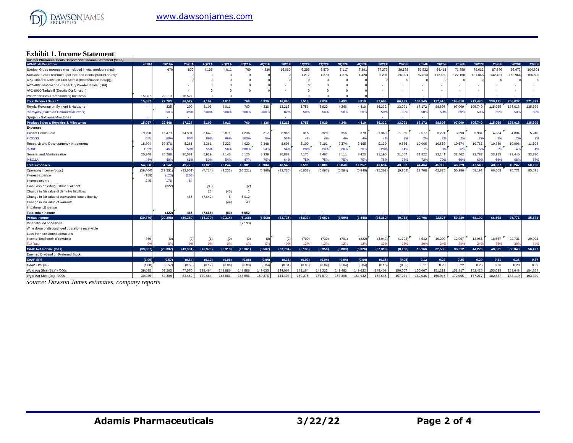

# **Exhibit 1. Income Statement Adamis Pharmaceuticals Corporation: Income Statement (\$000)**

| nis i naimaceancais corporanon. mcome otatement (9000)           | 2018A     | 2019A     | 2020A     | 1Q21A     | 2Q21A    | 3Q21A          | 4Q21E    | 2021E     | 1Q22E   | 2Q22E      | 3Q22E          | 4Q22E    | 2022E     | 2023E   | 2024E           | 2025E   | 2026E          | 2027E   | 2028E   | 2029E   | 2030E   |
|------------------------------------------------------------------|-----------|-----------|-----------|-----------|----------|----------------|----------|-----------|---------|------------|----------------|----------|-----------|---------|-----------------|---------|----------------|---------|---------|---------|---------|
| <b>ADMP: YE December</b>                                         |           |           |           |           |          |                |          |           |         |            |                |          |           |         |                 |         |                |         |         |         |         |
| Symjepi Gross revenues (not included in total product sales)*    |           | 67C       | 800       | 4.109     | 4.011    | 760            | 4.336    | 16,060    | 6.296   | 6,570      | 7,117          | 7,391    | 27.373    | 39.192  | 51.532          | 64.411  | 71.859         | 79.612  | 87,680  | 96.073  | 104,801 |
| Naloxone Gross revenues (not included in total product sales)*   |           |           |           |           | $\Omega$ | $\Omega$       |          |           | 1,217   | 1,270      | 1,376          | 1,428    | 5,291     | 26,991  | 82,813          | 113,199 | 122,158        | 131,868 | 142,431 | 153,964 | 166,598 |
| APC-1000 HFA Inhaled Oral Steroid (maintenance therapy)          |           |           |           |           |          |                |          |           |         | $\sqrt{2}$ | $\overline{0}$ |          |           |         |                 |         |                |         |         |         |         |
| APC-4000 Fluticasone - Taper Dry Powder Inhaler (DPI)            |           |           |           |           |          |                |          |           |         |            | $\Omega$       |          |           |         |                 |         |                |         |         |         |         |
| APC-8000 Tadalafil (Erectile Dysfunction)                        |           |           |           |           |          |                |          |           |         |            | $\Omega$       |          |           |         |                 |         |                |         |         |         |         |
| Pharmaceutical Compounding business                              | 15.087    | 22.113    | 16.527    | $\Omega$  |          |                |          |           |         |            | c              |          |           |         |                 |         |                |         |         |         |         |
| <b>Total Product Sales*</b>                                      | 15.087    | 22.783    | 16.527    | 4.109     | 4.011    | 760            | 4.336    | 16.060    | 7.513   | 7.839      | 8.493          | 8.819    | 32.664    | 66.183  | 134.345         | 177,610 | 194.018        | 211.480 | 230.111 | 250.037 | 271.399 |
| Royalty Revenue on Symjepi & Naloxone'                           | ٠.        | 335       | 200       | 4,109     | 4,011    | 760            | 4,336    | 13,216    | 3,756   | 3.920      | 4,246          | 4.410    | 16,332    | 33,091  | 67.172          | 88,805  | 97.009         | 105,740 | 115,055 | 125,018 | 135,699 |
| % Royalty (slides on Commercial levels)                          |           | 50        | 25%       | 100%      | 100%     | 100%           | 100%     | 82%       | 50%     | 50%        | 50%            | 50%      | 50%       | 50%     | 50%             | 50%     | 50%            | 50%     | 50%     | 50%     | 50%     |
| Symjepi / Naloxone Milestones                                    | ٠.        |           |           |           |          |                |          |           |         |            |                |          |           |         |                 |         |                |         |         |         |         |
| <b>Product Sales &amp; Royalties &amp; Milestones</b>            | 15,087    | 22,448    | 17,127    | 4,109     | 4.011    | 760            | 4.336    | 13,216    | 3.756   | 3.920      | 4.246          | 4.410    | 16.332    | 33,091  | 67,172          | 88,805  | 97.009         | 105,740 | 115,055 | 125,018 | 135,699 |
| <b>Expenses</b>                                                  |           |           |           |           |          |                |          |           |         |            |                |          |           |         |                 |         |                |         |         |         |         |
| Cost of Goods Sold                                               | 9,798     | 15,479    | 14,894    | 3,642     | 3,871    | 1,236          | 217      | 8,965     | 315     | 328        | 356            | 370      | 1,369     | 1,960   | 2,577           | 3,221   | 3,593          | 3,981   | 4,384   | 4,804   | 5,240   |
| %COGS                                                            | 65%       | 689       | 90%       | 89%       | 96%      | 163%           | 5%       | 56%       | 4%      | 4%         | 4%             | 4%       | 4%        | 3%      | 2%              | 2%      | 2 <sup>9</sup> | 2%      | 2%      | 29      | 2%      |
| Research and Development + Impairment                            | 18,804    | 10,376    | 8,28      | 2,261     | 2,233    | 4,620          | 2,348    | 8,695     | 2,100   | 2,191      | 2,374          | 2,465    | 9,130     | 9,586   | 10,065          | 10,569  | 10,674         | 10,781  | 10,889  | 10,998  | 11,108  |
| %R&D                                                             | 125%      | 46        | 50%       | 55%       | 56%      | 608%           | 54%      | 54%       | 28%     | 28%        | 28%            | 28%      | 28%       | 14%     | - 7%            | 6%      | -69            | 5%      | 5%      | 49      | 4%      |
| General and Administrative                                       | 25,948    | 25,288    | 30,58     | 5,919     | 7.141    | 5,125          | 8,339    | 30,887    | 7,175   | 7.487      | 8,111          | 8,423    | 31.195    | 31,507  | 31.822          | 32.141  | 32.462         | 32.787  | 33,115  | 33,446  | 33,780  |
| %SG&A                                                            | 489       | 49        | 61        | 50%       | 54%      | 47%            | 769      | 649       | 75%     | 75%        | 75%            | 75%      | 75%       | 73%     | 72%             | 70%     | 699            | 69      | 68%     | 68      | 67%     |
| <b>Total expenses</b>                                            | 54,550    | 51,142    | 49,778    | 11.823    | 13.244   | 10.981         | 10.904   | 48.546    | 9.590   | 10.006     | 10.840         | 11.257   | 41.694    | 43.053  | 44.464          | 45,930  | 46.729         | 47.548  | 48.387  | 49.247  | 50,128  |
| Operating income (Loss)                                          | (39, 464) | (29, 351) | (32, 651) | (7.714)   | (9.233)  | (10, 221)      | (6, 568) | (33, 735) | (5,833) | (6.087)    | (6, 594)       | (6.848)  | (25, 362) | (9,962) | 22.708          | 42.875  | 50.280         | 58.192  | 66,668  | 75.771  | 85,571  |
| Interest expense                                                 | (158)     | (123)     | (160)     |           |          |                |          |           |         |            |                |          |           |         |                 |         |                |         |         |         |         |
| Interest Income                                                  | 245       | 176       | 84        |           |          |                |          |           |         |            |                |          |           |         |                 |         |                |         |         |         |         |
| Gain/Loss on extinguishment of debt                              |           | (322)     |           | (39)      |          | (2)            |          |           |         |            |                |          |           |         |                 |         |                |         |         |         |         |
| Change in fair value of derivitive liabilities                   |           |           |           | 16        | (45)     | $\overline{2}$ |          |           |         |            |                |          |           |         |                 |         |                |         |         |         |         |
| Change in fair value of conversion feature liability             |           |           | 465       | (7,642)   | 8        | 5,010          |          |           |         |            |                |          |           |         |                 |         |                |         |         |         |         |
| Change in fair value of warrants                                 |           |           |           |           | (44)     | 43             |          |           |         |            |                |          |           |         |                 |         |                |         |         |         |         |
| <b>Impairment Expense</b>                                        |           |           |           |           |          |                |          |           |         |            |                |          |           |         |                 |         |                |         |         |         |         |
| <b>Total other income</b>                                        |           | (322)     | 465       | (7.665)   | (81)     | 5.052          |          |           |         |            |                |          |           |         |                 |         |                |         |         |         |         |
| <b>Pretax Income</b>                                             | (39, 376) | (29, 298) | (49, 389) | (15, 379) | (9,314)  | (5, 168)       | (6.568)  | (33, 735) | (5.833) | (6,087)    | (6, 594)       | (6, 848) | (25, 362) | (9,962) | 22,708          | 42.875  | 50.280         | 58,192  | 66,668  | 75,771  | 85,571  |
| Discontinued opeartions                                          |           |           |           |           |          | (7, 193)       |          |           |         |            |                |          |           |         |                 |         |                |         |         |         |         |
| Write down of discontinued operations receivable                 |           |           |           |           |          |                |          |           |         |            |                |          |           |         |                 |         |                |         |         |         |         |
|                                                                  |           |           |           |           |          |                |          |           |         |            |                |          |           |         |                 |         |                |         |         |         |         |
| Loss from continued operations<br>Income Tax Benefit (Provision) | 369       |           |           |           | (0)      |                | (0)      | (2)       | (700)   | (730)      | (791)          | (822)    | (3,043)   | (1,793) | 4,542           | 10,290  | 12,067         | 13,966  | 18,667  | 22,731  | 29,094  |
| <b>Tax Rate</b>                                                  | n         |           |           | (1)<br>0% | 0%       | (0)<br>0%      |          |           | 12%     | 12%        | 12%            | 12%      | 12%       | 189     | 20 <sup>o</sup> | 24%     | $24^{\circ}$   | 24%     | 289     | 309     | 349     |
| <b>GAAP Net Income (loss)</b>                                    | (39.007)  | (29.307)  | (49.391)  | (15.379)  | (9.313)  | (12.361)       | (6.567)  | (33.734)  | (5.133) | (5.356)    | (5.803)        | (6.026)  | (22.318)  | (8.168) | 18.166          | 32.585  | 38.212         | 44.226  | 48.001  | 53,040  | 56,477  |
|                                                                  |           |           |           |           |          |                |          |           |         |            |                |          |           |         |                 |         |                |         |         |         |         |
| Deemed Dividend on Preferred Stock                               |           |           |           |           |          |                |          |           |         |            |                |          |           |         |                 |         |                |         |         |         |         |
| GAAP-EPS                                                         | (1.00)    | (0.57)    | (0.64)    | (0.12)    | (0.06)   | (0.08)         | (0.04)   | (0.31)    | (0.03)  | (0.04)     | (0.04)         | (0.04)   | (0.15)    | (0.05)  | 0.12            | 0.22    | 0.25           | 0.29    | 0.31    | 0.35    | 0.37    |
| GAAP EPS (dil)                                                   | (1.00)    | (0.57)    | (0.59)    | (0.12)    | (0.06)   | (0.08)         | (0.04)   | (0.31)    | (0.03)  | (0.04)     | (0.04)         | (0.04)   | (0.15)    | (0.05)  | 0.11            | 0.20    | 0.22           | 0.25    | 0.26    | 0.28    | 0.29    |
| Wgtd Avg Shrs (Bas) - '000s                                      | 39.085    | 53,263    | 77,570    | 129.464   | 148,886  | 148.886        | 149.035  | 144.068   | 149.184 | 149.333    | 149.483        | 149.632  | 149.408   | 150.007 | 150.607         | 151.211 | 151.817        | 152.425 | 153.035 | 153.648 | 154,264 |
| Watd Ava Shrs (Dil) - '000s                                      | 39.085    | 53,304    | 83.462    | 129.464   | 148.886  | 148.886        | 150.375  | 144,403   | 150.375 | 151.879    | 153.398        | 154.932  | 152.646   | 157.271 | 162.036         | 166,946 | 172.005        | 177.217 | 182.587 | 188.119 | 193.820 |

*Source: Dawson James estimates, company reports*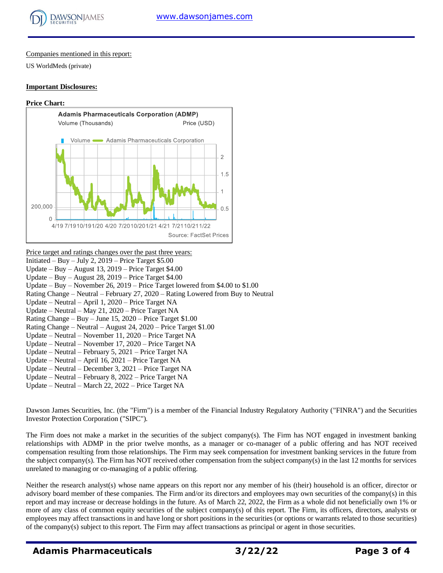

#### Companies mentioned in this report:

US WorldMeds (private)

#### **Important Disclosures:**

#### **Price Chart:**



#### Price target and ratings changes over the past three years: Initiated – Buy – July 2,  $2019$  – Price Target \$5.00 Update – Buy – August 13,  $2019$  – Price Target \$4.00 Update – Buy – August 28, 2019 – Price Target \$4.00 Update – Buy – November 26, 2019 – Price Target lowered from \$4.00 to \$1.00 Rating Change – Neutral – February 27, 2020 – Rating Lowered from Buy to Neutral Update – Neutral – April 1, 2020 – Price Target NA Update – Neutral – May 21, 2020 – Price Target NA Rating Change – Buy – June 15,  $2020$  – Price Target \$1.00 Rating Change – Neutral – August 24, 2020 – Price Target \$1.00 Update – Neutral – November 11, 2020 – Price Target NA Update – Neutral – November 17, 2020 – Price Target NA Update – Neutral – February 5, 2021 – Price Target NA Update – Neutral – April 16, 2021 – Price Target NA Update – Neutral – December 3, 2021 – Price Target NA Update – Neutral – February 8, 2022 – Price Target NA Update – Neutral – March 22, 2022 – Price Target NA

Dawson James Securities, Inc. (the "Firm") is a member of the Financial Industry Regulatory Authority ("FINRA") and the Securities Investor Protection Corporation ("SIPC").

The Firm does not make a market in the securities of the subject company(s). The Firm has NOT engaged in investment banking relationships with ADMP in the prior twelve months, as a manager or co-manager of a public offering and has NOT received compensation resulting from those relationships. The Firm may seek compensation for investment banking services in the future from the subject company(s). The Firm has NOT received other compensation from the subject company(s) in the last 12 months for services unrelated to managing or co-managing of a public offering.

Neither the research analyst(s) whose name appears on this report nor any member of his (their) household is an officer, director or advisory board member of these companies. The Firm and/or its directors and employees may own securities of the company(s) in this report and may increase or decrease holdings in the future. As of March 22, 2022, the Firm as a whole did not beneficially own 1% or more of any class of common equity securities of the subject company(s) of this report. The Firm, its officers, directors, analysts or employees may affect transactions in and have long or short positions in the securities (or options or warrants related to those securities) of the company(s) subject to this report. The Firm may affect transactions as principal or agent in those securities.